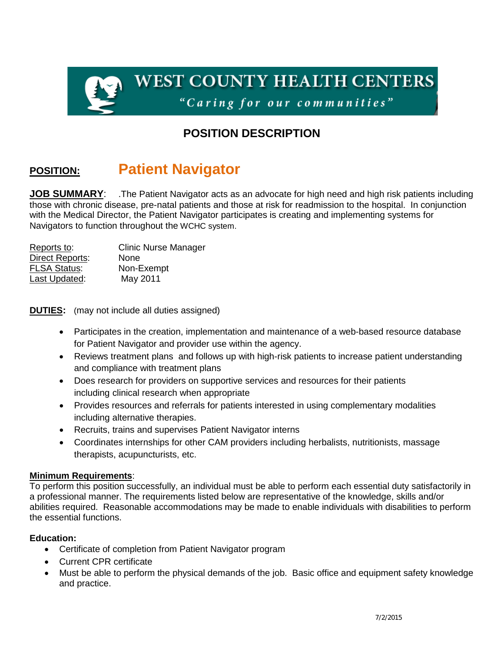

## **POSITION DESCRIPTION**

# **POSITION: Patient Navigator**

**JOB SUMMARY:** .The Patient Navigator acts as an advocate for high need and high risk patients including those with chronic disease, pre-natal patients and those at risk for readmission to the hospital. In conjunction with the Medical Director, the Patient Navigator participates is creating and implementing systems for Navigators to function throughout the WCHC system.

| Reports to:            | <b>Clinic Nurse Manager</b> |
|------------------------|-----------------------------|
| <b>Direct Reports:</b> | None                        |
| <b>FLSA Status:</b>    | Non-Exempt                  |
| Last Updated:          | May 2011                    |

**DUTIES:** (may not include all duties assigned)

- Participates in the creation, implementation and maintenance of a web-based resource database for Patient Navigator and provider use within the agency.
- Reviews treatment plans and follows up with high-risk patients to increase patient understanding and compliance with treatment plans
- Does research for providers on supportive services and resources for their patients including clinical research when appropriate
- Provides resources and referrals for patients interested in using complementary modalities including alternative therapies.
- Recruits, trains and supervises Patient Navigator interns
- Coordinates internships for other CAM providers including herbalists, nutritionists, massage therapists, acupuncturists, etc.

#### **Minimum Requirements**:

To perform this position successfully, an individual must be able to perform each essential duty satisfactorily in a professional manner. The requirements listed below are representative of the knowledge, skills and/or abilities required. Reasonable accommodations may be made to enable individuals with disabilities to perform the essential functions.

#### **Education:**

- Certificate of completion from Patient Navigator program
- Current CPR certificate
- Must be able to perform the physical demands of the job. Basic office and equipment safety knowledge and practice.